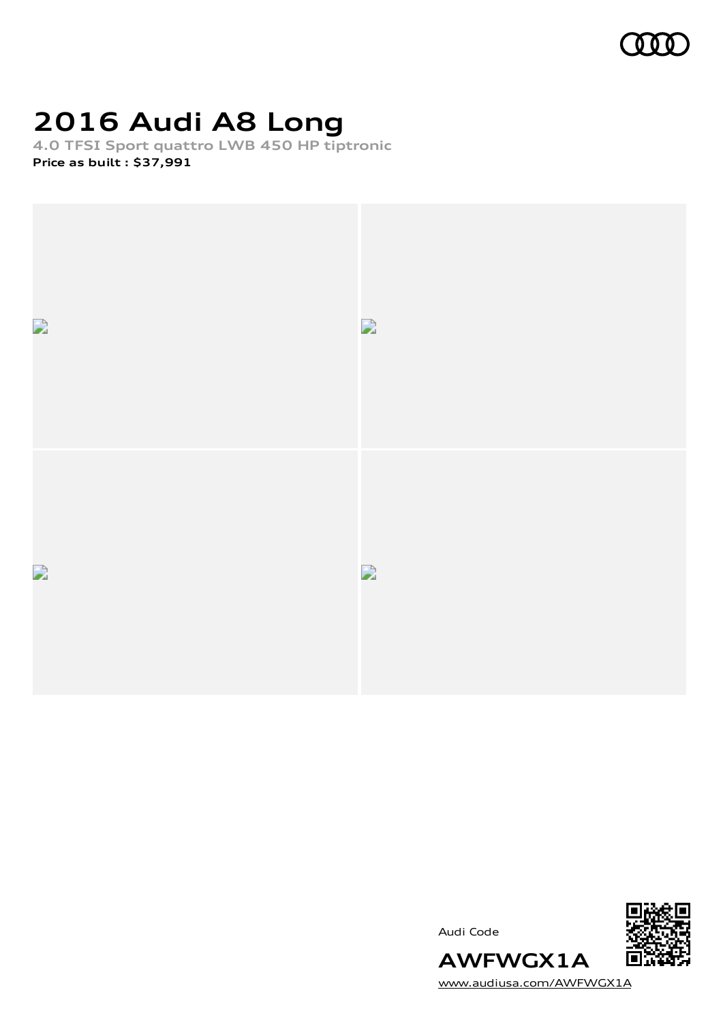

# **2016 Audi A8 Long**

**4.0 TFSI Sport quattro LWB 450 HP tiptronic Price as built [:](#page-9-0) \$37,991**



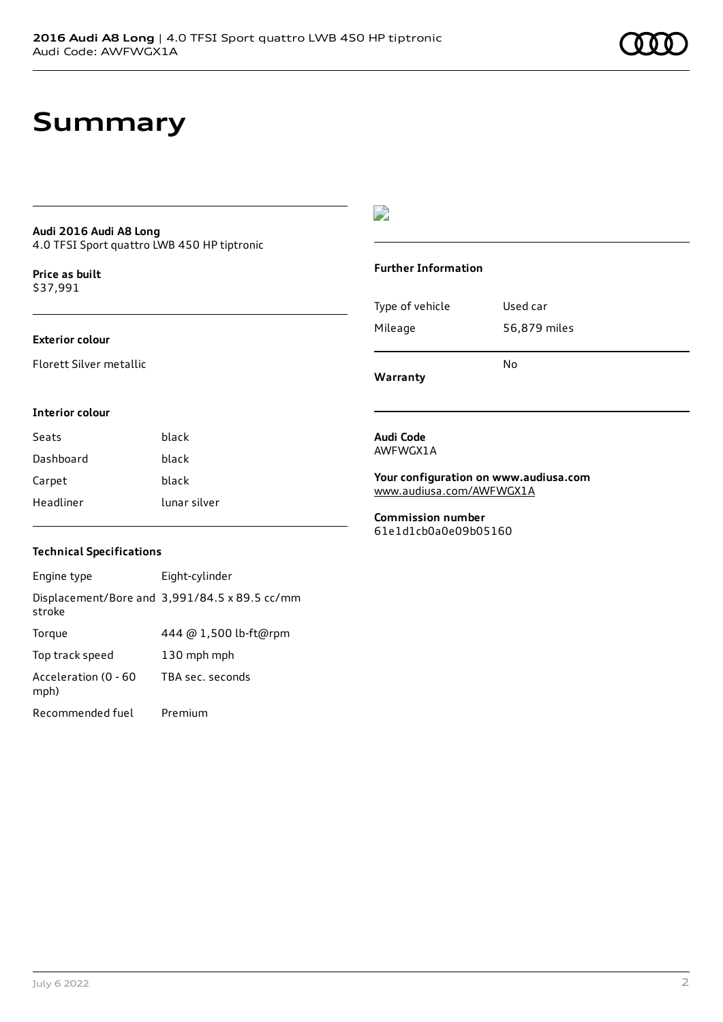# **Summary**

### **Audi 2016 Audi A8 Long** 4.0 TFSI Sport quattro LWB 450 HP tiptronic

**Price as buil[t](#page-9-0)** \$37,991

### **Exterior colour**

Florett Silver metallic

## $\overline{\phantom{a}}$

### **Further Information**

|                 | N٥           |
|-----------------|--------------|
| Mileage         | 56,879 miles |
| Type of vehicle | Used car     |

**Warranty**

#### **Interior colour**

| Seats     | black        |
|-----------|--------------|
| Dashboard | black        |
| Carpet    | black        |
| Headliner | lunar silver |

## AWFWGX1A

**Audi Code**

**Your configuration on www.audiusa.com** [www.audiusa.com/AWFWGX1A](https://www.audiusa.com/AWFWGX1A)

**Commission number** 61e1d1cb0a0e09b05160

### **Technical Specifications**

| Engine type                  | Eight-cylinder                                |
|------------------------------|-----------------------------------------------|
| stroke                       | Displacement/Bore and 3,991/84.5 x 89.5 cc/mm |
| Torque                       | 444 @ 1,500 lb-ft@rpm                         |
| Top track speed              | 130 mph mph                                   |
| Acceleration (0 - 60<br>mph) | TBA sec. seconds                              |
| Recommended fuel             | Premium                                       |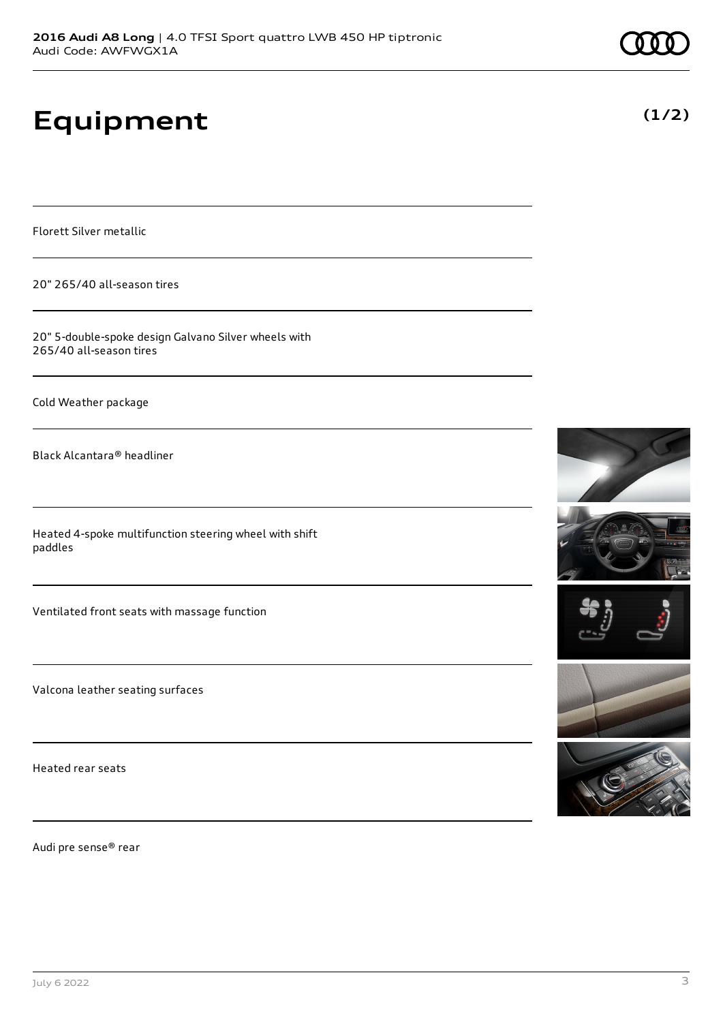# **Equipment**

Florett Silver metallic

20" 265/40 all-season tires

20" 5-double-spoke design Galvano Silver wheels with 265/40 all-season tires

Cold Weather package

Black Alcantara® headliner

Heated 4-spoke multifunction steering wheel with shift paddles

Ventilated front seats with massage function

Valcona leather seating surfaces

Heated rear seats

Audi pre sense® rear









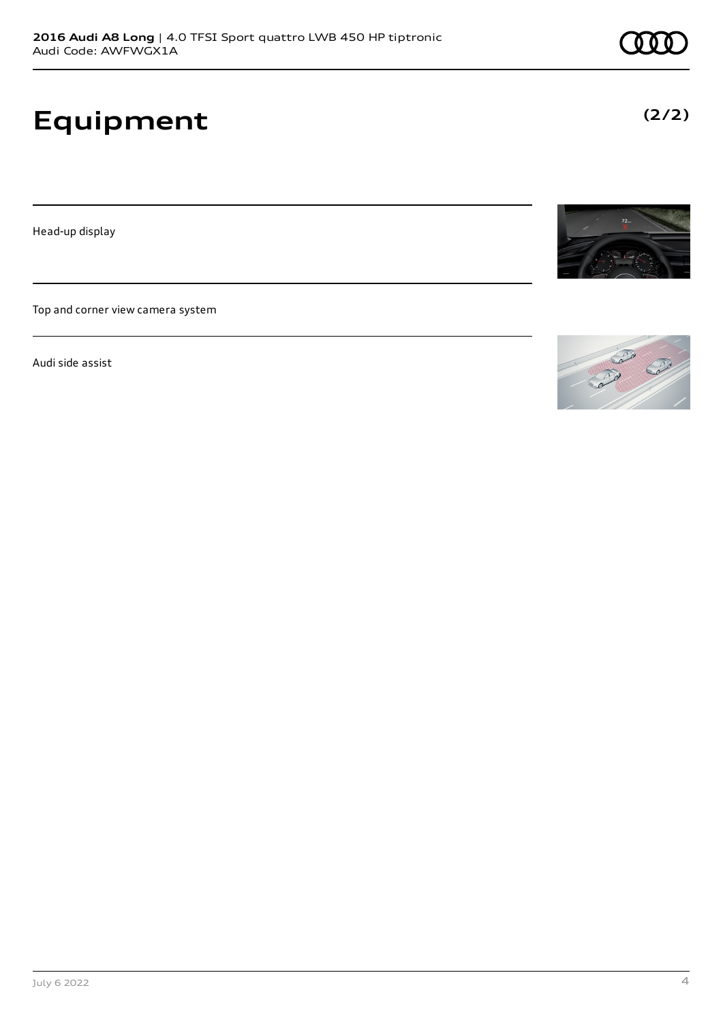# **Equipment**

Head-up display

Top and corner view camera system

Audi side assist



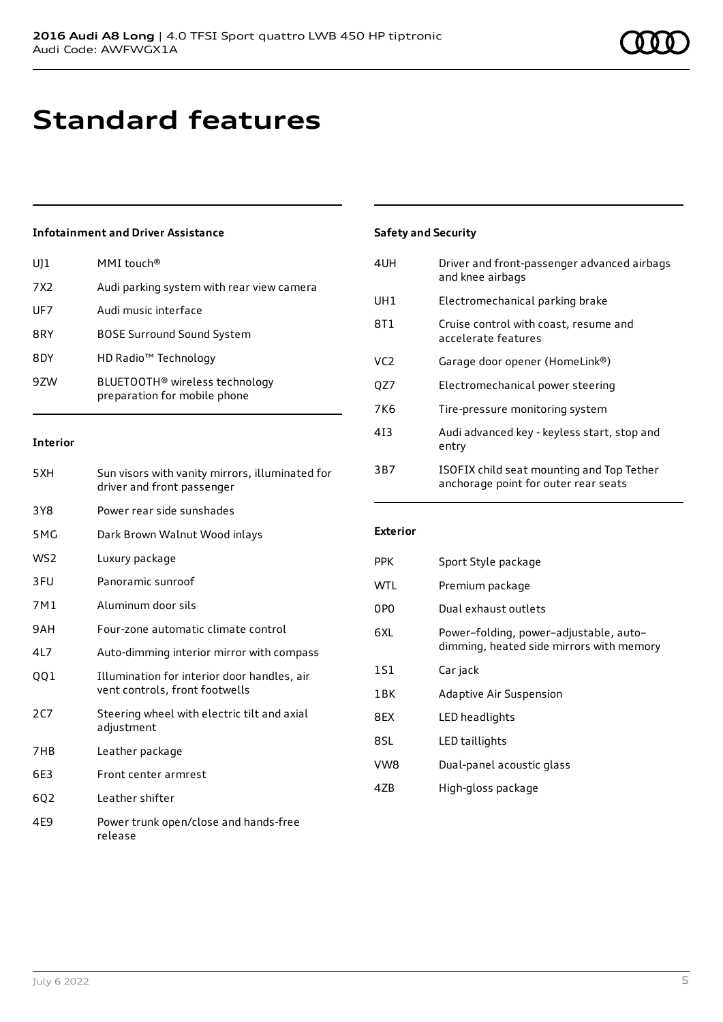# **Standard features**

## **Infotainment and Driver Assistance**

| U]1             | MMI touch <sup>®</sup>                                                     |
|-----------------|----------------------------------------------------------------------------|
| 7X <sub>2</sub> | Audi parking system with rear view camera                                  |
| UF7             | Audi music interface                                                       |
| 8RY             | <b>BOSE Surround Sound System</b>                                          |
| 8DY             | HD Radio <sup>™</sup> Technology                                           |
| 9ZW             | BLUETOOTH <sup>®</sup> wireless technology<br>preparation for mobile phone |

#### **Interior**

| 5XH             | Sun visors with vanity mirrors, illuminated for<br>driver and front passenger |
|-----------------|-------------------------------------------------------------------------------|
| 3Y8             | Power rear side sunshades                                                     |
| 5MG             | Dark Brown Walnut Wood inlays                                                 |
| W <sub>S2</sub> | Luxury package                                                                |
| 3FU             | Panoramic sunroof                                                             |
| 7M1             | Aluminum door sils                                                            |
| 9AH             | Four-zone automatic climate control                                           |
| 4L7             | Auto-dimming interior mirror with compass                                     |
| QQ1             | Illumination for interior door handles, air<br>vent controls, front footwells |
| 2C              | Steering wheel with electric tilt and axial<br>adjustment                     |
| 7HB             | Leather package                                                               |
| 6E3             | Front center armrest                                                          |
| 602             | Leather shifter                                                               |
| 4E9             | Power trunk open/close and hands-free<br>release                              |

## **Safety and Security**

| 4UH             | Driver and front-passenger advanced airbags<br>and knee airbags                   |
|-----------------|-----------------------------------------------------------------------------------|
| UH1             | Electromechanical parking brake                                                   |
| 8T1             | Cruise control with coast, resume and<br>accelerate features                      |
| VC <sub>2</sub> | Garage door opener (HomeLink®)                                                    |
| QZ7             | Electromechanical power steering                                                  |
| 7K6             | Tire-pressure monitoring system                                                   |
| 413             | Audi advanced key - keyless start, stop and<br>entry                              |
| 3B7             | ISOFIX child seat mounting and Top Tether<br>anchorage point for outer rear seats |

#### **Exterior**

| <b>PPK</b>      | Sport Style package                                                                |
|-----------------|------------------------------------------------------------------------------------|
| <b>WTL</b>      | Premium package                                                                    |
| 0PO             | Dual exhaust outlets                                                               |
| 6XI.            | Power-folding, power-adjustable, auto-<br>dimming, heated side mirrors with memory |
| 1S1             | Car jack                                                                           |
| 1 <sub>RK</sub> | <b>Adaptive Air Suspension</b>                                                     |
| 8FX             | LED headlights                                                                     |
| 8SL             | LED taillights                                                                     |
| VW8             | Dual-panel acoustic glass                                                          |
| 47B             | High-gloss package                                                                 |
|                 |                                                                                    |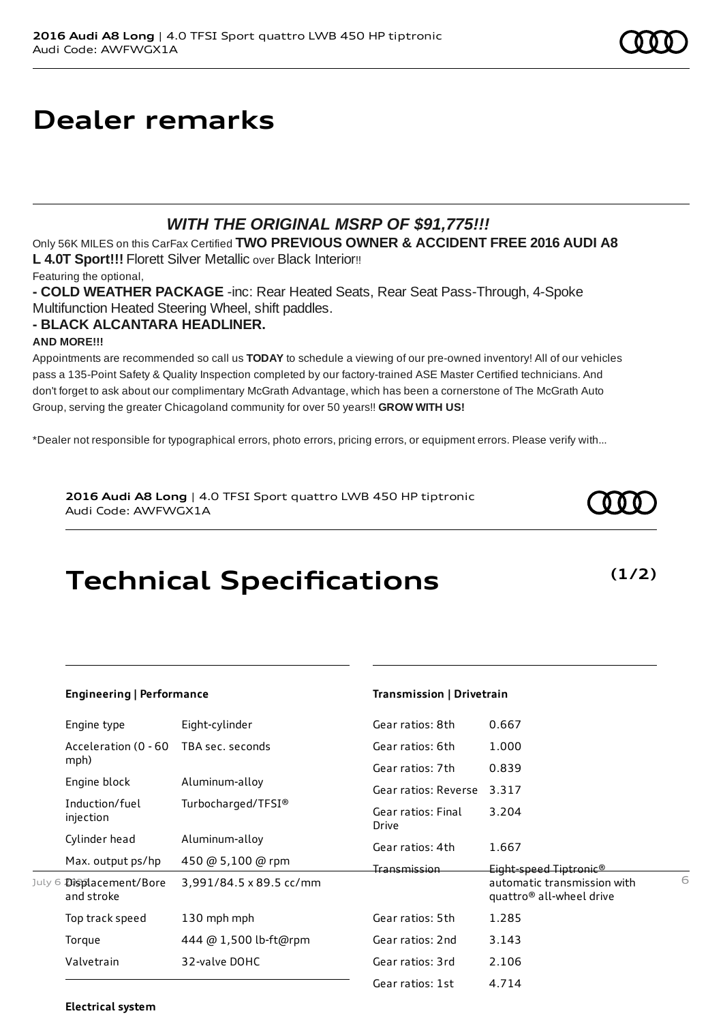## **Dealer remarks**

## *WITH THE ORIGINAL MSRP OF \$91,775!!!*

Only 56K MILES on this CarFax Certified **TWO PREVIOUS OWNER & ACCIDENT FREE 2016 AUDI A8 L 4.0T Sport!!!** Florett Silver Metallic over Black Interior!!

Featuring the optional,

**- COLD WEATHER PACKAGE** -inc: Rear Heated Seats, Rear Seat Pass-Through, 4-Spoke Multifunction Heated Steering Wheel, shift paddles.

## **- BLACK ALCANTARA HEADLINER.**

## **AND MORE!!!**

Appointments are recommended so call us **TODAY** to schedule a viewing of our pre-owned inventory! All of our vehicles pass a 135-Point Safety & Quality Inspection completed by our factory-trained ASE Master Certified technicians. And don't forget to ask about our complimentary McGrath Advantage, which has been a cornerstone of The McGrath Auto Group, serving the greater Chicagoland community for over 50 years!! **GROW WITH US!**

\*Dealer not responsible for typographical errors, photo errors, pricing errors, or equipment errors. Please verify with...

**2016 Audi A8 Long** | 4.0 TFSI Sport quattro LWB 450 HP tiptronic Audi Code: AWFWGX1A

# **Technical Specifications**

|        | Engineering   Performance       |                         | Transmission   Drivetrain   |                                                                     |   |
|--------|---------------------------------|-------------------------|-----------------------------|---------------------------------------------------------------------|---|
|        | Engine type                     | Eight-cylinder          | Gear ratios: 8th            | 0.667                                                               |   |
|        | Acceleration (0 - 60            | TBA sec. seconds        | Gear ratios: 6th            | 1.000                                                               |   |
|        | mph)                            |                         | Gear ratios: 7th            | 0.839                                                               |   |
|        | Engine block                    | Aluminum-alloy          | Gear ratios: Reverse        | 3.317                                                               |   |
|        | Induction/fuel<br>injection     | Turbocharged/TFSI®      | Gear ratios: Final<br>Drive | 3.204                                                               |   |
|        | Cylinder head                   | Aluminum-alloy          | Gear ratios: 4th            | 1.667                                                               |   |
|        | Max. output ps/hp               | 450 @ 5,100 @ rpm       | <u>Transmission</u>         | Eight-speed Tiptronic®                                              |   |
| July 6 | Displacement/Bore<br>and stroke | 3,991/84.5 x 89.5 cc/mm |                             | automatic transmission with<br>quattro <sup>®</sup> all-wheel drive | 6 |
|        | Top track speed                 | 130 mph mph             | Gear ratios: 5th            | 1.285                                                               |   |
|        | Torque                          | 444 @ 1,500 lb-ft@rpm   | Gear ratios: 2nd            | 3.143                                                               |   |
|        | Valvetrain                      | 32-valve DOHC           | Gear ratios: 3rd            | 2.106                                                               |   |
|        |                                 |                         | Gear ratios: 1st            | 4.714                                                               |   |

## **Electrical system**



**(1/2)**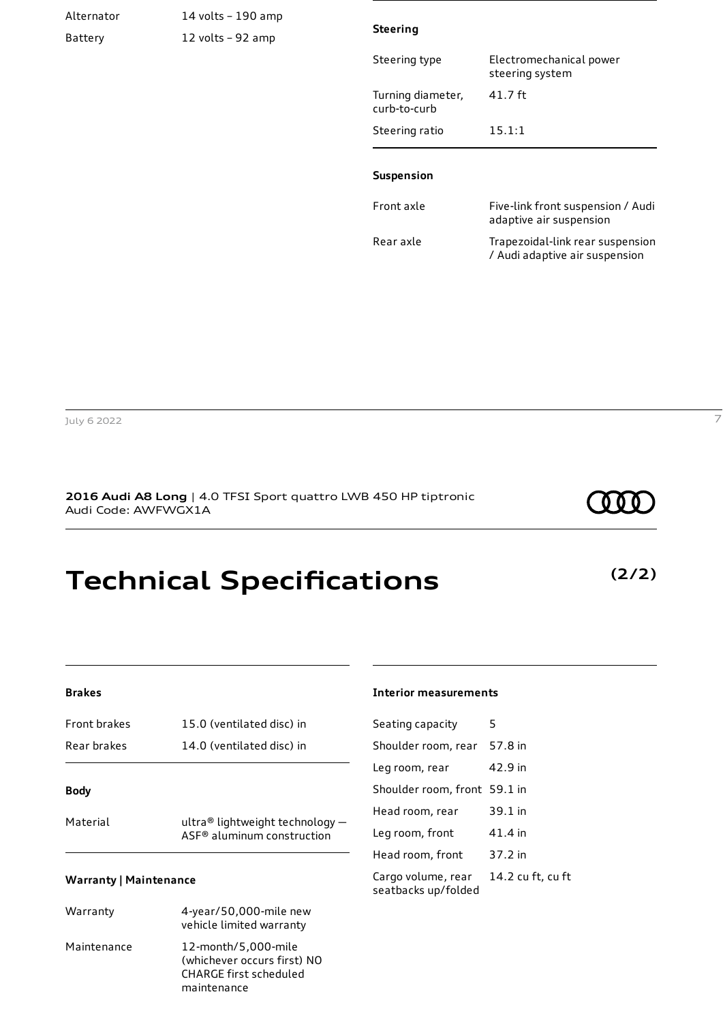| Alternator | 14 volts - 190 amp |                                   |                                                                    |
|------------|--------------------|-----------------------------------|--------------------------------------------------------------------|
| Battery    | 12 volts - 92 amp  | <b>Steering</b>                   |                                                                    |
|            |                    | Steering type                     | Electromechanical power<br>steering system                         |
|            |                    | Turning diameter,<br>curb-to-curb | 41.7 ft                                                            |
|            |                    | Steering ratio                    | 15.1:1                                                             |
|            |                    | Suspension                        |                                                                    |
|            |                    | Front axle                        | Five-link front suspension / Audi<br>adaptive air suspension       |
|            |                    | Rear axle                         | Trapezoidal-link rear suspension<br>/ Audi adaptive air suspension |
|            |                    |                                   |                                                                    |

July 6 2022 7

## **2016 Audi A8 Long** | 4.0 TFSI Sport quattro LWB 450 HP tiptronic Audi Code: AWFWGX1A

# **Technical Specifications**

| Front brakes | 15.0 (ventilated disc) in |
|--------------|---------------------------|
| Rear brakes  | 14.0 (ventilated disc) in |
|              |                           |

## **Body**

| Material | ultra® lightweight technology $-$ |
|----------|-----------------------------------|
|          | ASF® aluminum construction        |

### **Warranty | Maintenance**

| Warranty    | 4-year/50,000-mile new<br>vehicle limited warranty                                          |
|-------------|---------------------------------------------------------------------------------------------|
| Maintenance | 12-month/5,000-mile<br>(whichever occurs first) NO<br>CHARGE first scheduled<br>maintenance |

#### **Interior measurements**

| Seating capacity                          | 5                 |
|-------------------------------------------|-------------------|
| Shoulder room, rear                       | 57.8 in           |
| Leg room, rear                            | 42.9 in           |
| Shoulder room, front 59.1 in              |                   |
| Head room, rear                           | 39.1 in           |
| Leg room, front                           | 41.4 in           |
| Head room, front                          | 37.2 in           |
| Cargo volume, rear<br>seatbacks up/folded | 14.2 cu ft, cu ft |

**(2/2)**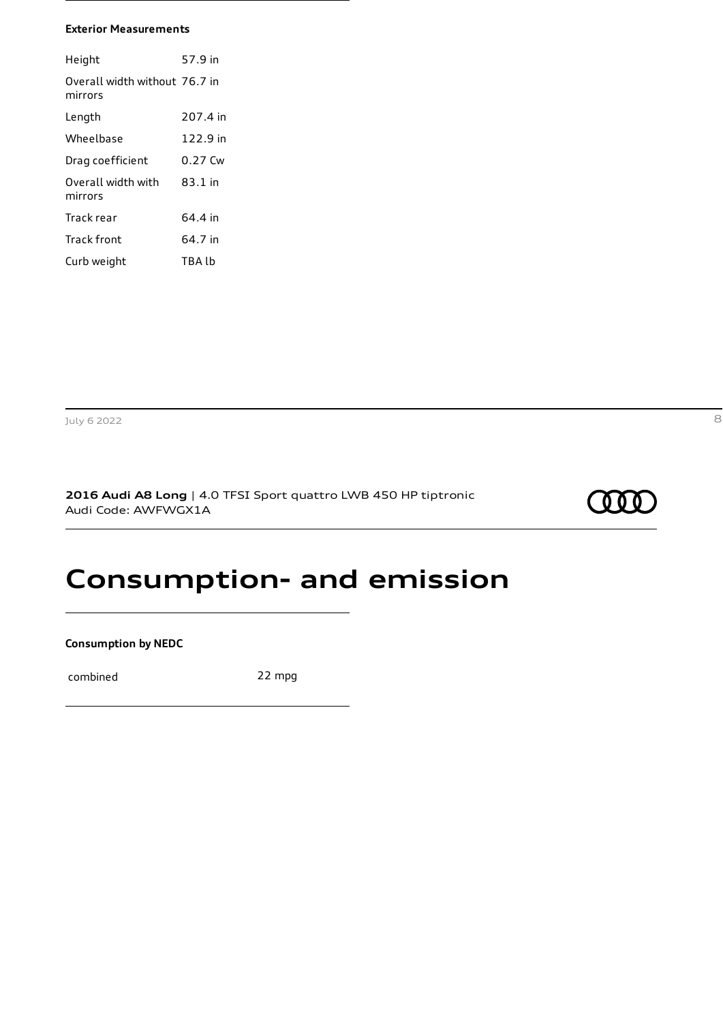#### **Exterior Measurements**

| Height                                   | 57.9 in  |
|------------------------------------------|----------|
| Overall width without 76.7 in<br>mirrors |          |
| Lenath                                   | 207.4 in |
| Wheelbase                                | 122.9 in |
| Drag coefficient                         | 0.27 Cw  |
| Overall width with<br>mirrors            | 83.1 in  |
| Track rear                               | 64.4 in  |
| <b>Track front</b>                       | 64.7 in  |
| Curb weight                              | TBA Ih   |

**2016 Audi A8 Long** | 4.0 TFSI Sport quattro LWB 450 HP tiptronic Audi Code: AWFWGX1A



## **Consumption- and emission**

**Consumption by NEDC**

combined 22 mpg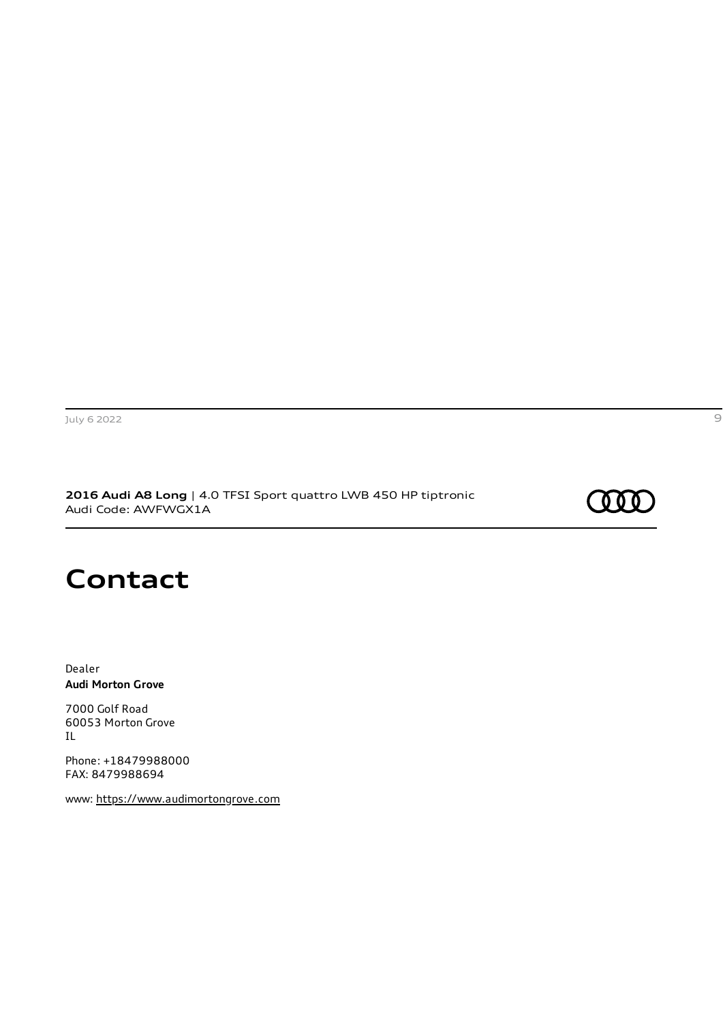**2016 Audi A8 Long** | 4.0 TFSI Sport quattro LWB 450 HP tiptronic Audi Code: AWFWGX1A

## (000

## **Contact**

Dealer **Audi Morton Grove**

7000 Golf Road 60053 Morton Grove IL

Phone: +18479988000 FAX: 8479988694

www: [https://www.audimortongrove.com](https://www.audimortongrove.com/)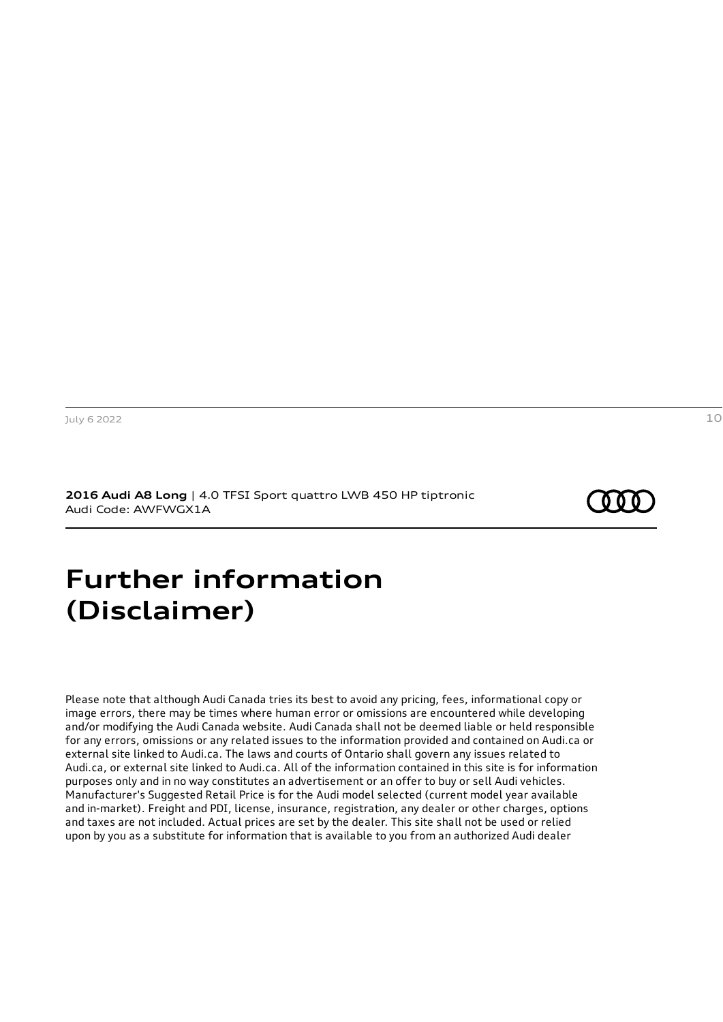**2016 Audi A8 Long** | 4.0 TFSI Sport quattro LWB 450 HP tiptronic Audi Code: AWFWGX1A

## <span id="page-9-0"></span>**Further information (Disclaimer)**

Please note that although Audi Canada tries its best to avoid any pricing, fees, informational copy or image errors, there may be times where human error or omissions are encountered while developing and/or modifying the Audi Canada website. Audi Canada shall not be deemed liable or held responsible for any errors, omissions or any related issues to the information provided and contained on Audi.ca or external site linked to Audi.ca. The laws and courts of Ontario shall govern any issues related to Audi.ca, or external site linked to Audi.ca. All of the information contained in this site is for information purposes only and in no way constitutes an advertisement or an offer to buy or sell Audi vehicles. Manufacturer's Suggested Retail Price is for the Audi model selected (current model year available and in-market). Freight and PDI, license, insurance, registration, any dealer or other charges, options and taxes are not included. Actual prices are set by the dealer. This site shall not be used or relied upon by you as a substitute for information that is available to you from an authorized Audi dealer